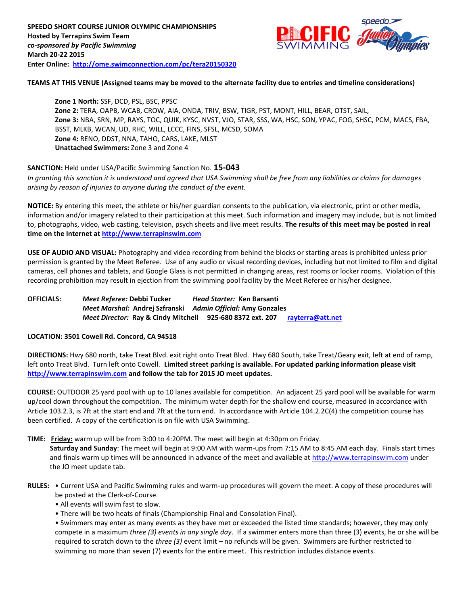

### **TEAMS AT THIS VENUE (Assigned teams may be moved to the alternate facility due to entries and timeline considerations)**

**Zone 1 North:** SSF, DCD, PSL, BSC, PPSC **Zone 2:** TERA, OAPB, WCAB, CROW, AIA, ONDA, TRIV, BSW, TIGR, PST, MONT, HILL, BEAR, OTST, SAIL, **Zone 3:** NBA, SRN, MP, RAYS, TOC, QUIK, KYSC, NVST, VJO, STAR, SSS, WA, HSC, SON, YPAC, FOG, SHSC, PCM, MACS, FBA, BSST, MLKB, WCAN, UD, RHC, WILL, LCCC, FINS, SFSL, MCSD, SOMA **Zone 4:** RENO, DDST, NNA, TAHO, CARS, LAKE, MLST **Unattached Swimmers:** Zone 3 and Zone 4

# **SANCTION:** Held under USA/Pacific Swimming Sanction No. **15-043**

*In granting this sanction it is understood and agreed that USA Swimming shall be free from any liabilities or claims for damages arising by reason of injuries to anyone during the conduct of the event.*

**NOTICE:** By entering this meet, the athlete or his/her guardian consents to the publication, via electronic, print or other media, information and/or imagery related to their participation at this meet. Such information and imagery may include, but is not limited to, photographs, video, web casting, television, psych sheets and live meet results. **The results of this meet may be posted in real time on the Internet at [http://www.terrapinswim.com](http://www.terrapinswim.com/)**

**USE OF AUDIO AND VISUAL:** Photography and video recording from behind the blocks or starting areas is prohibited unless prior permission is granted by the Meet Referee. Use of any audio or visual recording devices, including but not limited to film and digital cameras, cell phones and tablets, and Google Glass is not permitted in changing areas, rest rooms or locker rooms. Violation of this recording prohibition may result in ejection from the swimming pool facility by the Meet Referee or his/her designee.

# **OFFICIALS:** *Meet Referee:* **Debbi Tucker** *Head Starter:* **Ken Barsanti** *Meet Marshal:* **Andrej Szfranski** *Admin Official:* **Amy Gonzales** *Meet Director:* **Ray & Cindy Mitchell 925-680 8372 ext. 207 [rayterra@att.net](mailto:rayterra@att.net)**

### **LOCATION: 3501 Cowell Rd. Concord, CA 94518**

**DIRECTIONS:** Hwy 680 north, take Treat Blvd. exit right onto Treat Blvd. Hwy 680 South, take Treat/Geary exit, left at end of ramp, left onto Treat Blvd. Turn left onto Cowell. **Limited street parking is available. For updated parking information please visit [http://www.terrapinswim.com](http://www.terrapinswim.com/) and follow the tab for 2015 JO meet updates.**

**COURSE:** OUTDOOR 25 yard pool with up to 10 lanes available for competition.An adjacent 25 yard pool will be available for warm up/cool down throughout the competition. The minimum water depth for the shallow end course, measured in accordance with Article 103.2.3, is 7ft at the start end and 7ft at the turn end. In accordance with Article 104.2.2C(4) the competition course has been certified. A copy of the certification is on file with USA Swimming.

## **TIME: Friday:** warm up will be from 3:00 to 4:20PM. The meet will begin at 4:30pm on Friday.

**Saturday and Sunday**: The meet will begin at 9:00 AM with warm-ups from 7:15 AM to 8:45 AM each day. Finals start times and finals warm up times will be announced in advance of the meet and available a[t http://www.terrapinswim.com](http://www.terrapinswim.com/) under the JO meet update tab.

- **RULES:** Current USA and Pacific Swimming rules and warm-up procedures will govern the meet. A copy of these procedures will be posted at the Clerk-of-Course.
	- All events will swim fast to slow.
	- There will be two heats of finals (Championship Final and Consolation Final).

• Swimmers may enter as many events as they have met or exceeded the listed time standards; however, they may only compete in a maximum *three (3) events in any single day*. If a swimmer enters more than three (3) events, he or she will be required to scratch down to the *three (3)* event limit – no refunds will be given. Swimmers are further restricted to swimming no more than seven (7) events for the entire meet. This restriction includes distance events.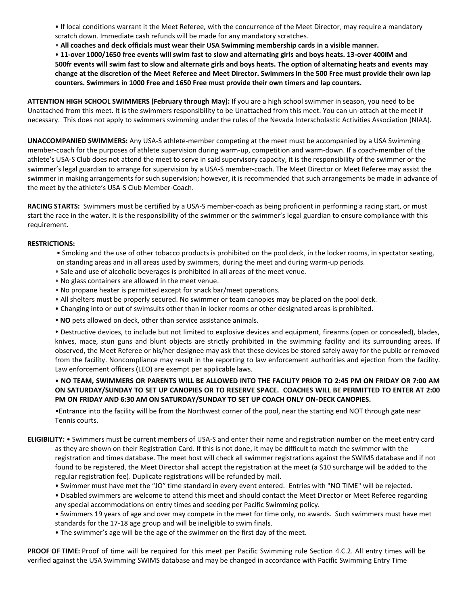• If local conditions warrant it the Meet Referee, with the concurrence of the Meet Director, may require a mandatory scratch down. Immediate cash refunds will be made for any mandatory scratches.

• **All coaches and deck officials must wear their USA Swimming membership cards in a visible manner.** 

• **11-over 1000/1650 free events will swim fast to slow and alternating girls and boys heats. 13-over 400IM and 500fr events will swim fast to slow and alternate girls and boys heats. The option of alternating heats and events may change at the discretion of the Meet Referee and Meet Director. Swimmers in the 500 Free must provide their own lap counters. Swimmers in 1000 Free and 1650 Free must provide their own timers and lap counters.**

**ATTENTION HIGH SCHOOL SWIMMERS (February through May):** If you are a high school swimmer in season, you need to be Unattached from this meet. It is the swimmers responsibility to be Unattached from this meet. You can un-attach at the meet if necessary. This does not apply to swimmers swimming under the rules of the Nevada Interscholastic Activities Association (NIAA).

**UNACCOMPANIED SWIMMERS:** Any USA-S athlete-member competing at the meet must be accompanied by a USA Swimming member-coach for the purposes of athlete supervision during warm-up, competition and warm-down. If a coach-member of the athlete's USA-S Club does not attend the meet to serve in said supervisory capacity, it is the responsibility of the swimmer or the swimmer's legal guardian to arrange for supervision by a USA-S member-coach. The Meet Director or Meet Referee may assist the swimmer in making arrangements for such supervision; however, it is recommended that such arrangements be made in advance of the meet by the athlete's USA-S Club Member-Coach.

**RACING STARTS:** Swimmers must be certified by a USA-S member-coach as being proficient in performing a racing start, or must start the race in the water. It is the responsibility of the swimmer or the swimmer's legal guardian to ensure compliance with this requirement.

### **RESTRICTIONS:**

- Smoking and the use of other tobacco products is prohibited on the pool deck, in the locker rooms, in spectator seating, on standing areas and in all areas used by swimmers, during the meet and during warm-up periods.
- Sale and use of alcoholic beverages is prohibited in all areas of the meet venue.
- No glass containers are allowed in the meet venue.
- No propane heater is permitted except for snack bar/meet operations.
- All shelters must be properly secured. No swimmer or team canopies may be placed on the pool deck.
- Changing into or out of swimsuits other than in locker rooms or other designated areas is prohibited.
- **NO** pets allowed on deck, other than service assistance animals.

 Destructive devices, to include but not limited to explosive devices and equipment, firearms (open or concealed), blades, knives, mace, stun guns and blunt objects are strictly prohibited in the swimming facility and its surrounding areas. If observed, the Meet Referee or his/her designee may ask that these devices be stored safely away for the public or removed from the facility. Noncompliance may result in the reporting to law enforcement authorities and ejection from the facility. Law enforcement officers (LEO) are exempt per applicable laws.

# • **NO TEAM, SWIMMERS OR PARENTS WILL BE ALLOWED INTO THE FACILITY PRIOR TO 2:45 PM ON FRIDAY OR 7:00 AM ON SATURDAY/SUNDAY TO SET UP CANOPIES OR TO RESERVE SPACE. COACHES WILL BE PERMITTED TO ENTER AT 2:00 PM ON FRIDAY AND 6:30 AM ON SATURDAY/SUNDAY TO SET UP COACH ONLY ON-DECK CANOPIES.**

•Entrance into the facility will be from the Northwest corner of the pool, near the starting end NOT through gate near Tennis courts.

**ELIGIBILITY:** • Swimmers must be current members of USA-S and enter their name and registration number on the meet entry card as they are shown on their Registration Card. If this is not done, it may be difficult to match the swimmer with the registration and times database. The meet host will check all swimmer registrations against the SWIMS database and if not found to be registered, the Meet Director shall accept the registration at the meet (a \$10 surcharge will be added to the regular registration fee). Duplicate registrations will be refunded by mail.

- Swimmer must have met the "JO" time standard in every event entered. Entries with "NO TIME" will be rejected.
- Disabled swimmers are welcome to attend this meet and should contact the Meet Director or Meet Referee regarding any special accommodations on entry times and seeding per Pacific Swimming policy.

• Swimmers 19 years of age and over may compete in the meet for time only, no awards. Such swimmers must have met standards for the 17-18 age group and will be ineligible to swim finals.

• The swimmer's age will be the age of the swimmer on the first day of the meet.

**PROOF OF TIME:** Proof of time will be required for this meet per Pacific Swimming rule Section 4.C.2. All entry times will be verified against the USA Swimming SWIMS database and may be changed in accordance with Pacific Swimming Entry Time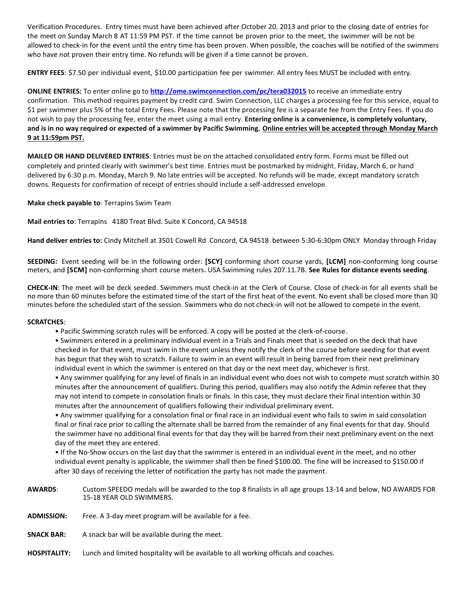Verification Procedures. Entry times must have been achieved after October 20, 2013 and prior to the closing date of entries for the meet on Sunday March 8 AT 11:59 PM PST. If the time cannot be proven prior to the meet, the swimmer will be not be allowed to check-in for the event until the entry time has been proven. When possible, the coaches will be notified of the swimmers who have not proven their entry time. No refunds will be given if a time cannot be proven.

**ENTRY FEES**: \$7.50 per individual event, \$10.00 participation fee per swimmer. All entry fees MUST be included with entry.

**ONLINE ENTRIES:** To enter online go to **<http://ome.swimconnection.com/pc/tera032015>** to receive an immediate entry confirmation. This method requires payment by credit card. Swim Connection, LLC charges a processing fee for this service, equal to \$1 per swimmer plus 5% of the total Entry Fees. Please note that the processing fee is a separate fee from the Entry Fees. If you do not wish to pay the processing fee, enter the meet using a mail entry. **Entering online is a convenience, is completely voluntary, and is in no way required or expected of a swimmer by Pacific Swimming. Online entries will be accepted through Monday March 9 at 11:59pm PST.** 

**MAILED OR HAND DELIVERED ENTRIES**: Entries must be on the attached consolidated entry form. Forms must be filled out completely and printed clearly with swimmer's best time. Entries must be postmarked by midnight, Friday, March 6, or hand delivered by 6:30 p.m. Monday, March 9. No late entries will be accepted. No refunds will be made, except mandatory scratch downs. Requests for confirmation of receipt of entries should include a self-addressed envelope.

**Make check payable to**: Terrapins Swim Team

**Mail entries to**: Terrapins 4180 Treat Blvd. Suite K Concord, CA 94518

**Hand deliver entries to:** Cindy Mitchell at 3501 Cowell Rd Concord, CA 94518 between 5:30-6:30pm ONLY Monday through Friday

**SEEDING:** Event seeding will be in the following order: **[SCY]** conforming short course yards, **[LCM]** non-conforming long course meters, and **[SCM]** non-conforming short course meters**.** USA Swimming rules 207.11.7B. **See Rules for distance events seeding**.

**CHECK-IN**: The meet will be deck seeded. Swimmers must check-in at the Clerk of Course. Close of check-in for all events shall be no more than 60 minutes before the estimated time of the start of the first heat of the event. No event shall be closed more than 30 minutes before the scheduled start of the session. Swimmers who do not check-in will not be allowed to compete in the event.

### **SCRATCHES**:

- Pacific Swimming scratch rules will be enforced. A copy will be posted at the clerk-of-course.
- Swimmers entered in a preliminary individual event in a Trials and Finals meet that is seeded on the deck that have checked in for that event, must swim in the event unless they notify the clerk of the course before seeding for that event has begun that they wish to scratch. Failure to swim in an event will result in being barred from their next preliminary individual event in which the swimmer is entered on that day or the next meet day, whichever is first.

• Any swimmer qualifying for any level of finals in an individual event who does not wish to compete must scratch within 30 minutes after the announcement of qualifiers. During this period, qualifiers may also notify the Admin referee that they may not intend to compete in consolation finals or finals. In this case, they must declare their final intention within 30 minutes after the announcement of qualifiers following their individual preliminary event.

• Any swimmer qualifying for a consolation final or final race in an individual event who fails to swim in said consolation final or final race prior to calling the alternate shall be barred from the remainder of any final events for that day. Should the swimmer have no additional final events for that day they will be barred from their next preliminary event on the next day of the meet they are entered.

• If the No-Show occurs on the last day that the swimmer is entered in an individual event in the meet, and no other individual event penalty is applicable, the swimmer shall then be fined \$100.00. The fine will be increased to \$150.00 if after 30 days of receiving the letter of notification the party has not made the payment.

- **AWARDS**: Custom SPEEDO medals will be awarded to the top 8 finalists in all age groups 13-14 and below, NO AWARDS FOR 15-18 YEAR OLD SWIMMERS.
- **ADMISSION:** Free. A 3-day meet program will be available for a fee.
- **SNACK BAR:** A snack bar will be available during the meet.
- **HOSPITALITY:** Lunch and limited hospitality will be available to all working officials and coaches.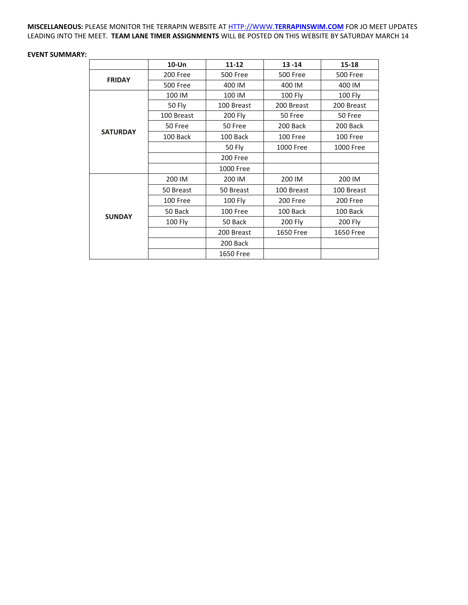**MISCELLANEOUS:** PLEASE MONITOR THE TERRAPIN WEBSITE AT HTTP://WWW.**[TERRAPINSWIM.COM](http://www.terrapinswim.com/)** FOR JO MEET UPDATES LEADING INTO THE MEET. **TEAM LANE TIMER ASSIGNMENTS** WILL BE POSTED ON THIS WEBSITE BY SATURDAY MARCH 14

### **EVENT SUMMARY:**

|                 | 10-Un           | $11 - 12$       | $13 - 14$        | $15 - 18$       |  |
|-----------------|-----------------|-----------------|------------------|-----------------|--|
| <b>FRIDAY</b>   | 200 Free        | <b>500 Free</b> | <b>500 Free</b>  | <b>500 Free</b> |  |
|                 | <b>500 Free</b> | 400 IM          | 400 IM           | 400 IM          |  |
|                 | 100 IM          | 100 IM          | 100 Fly          | <b>100 Fly</b>  |  |
|                 | 50 Fly          | 100 Breast      | 200 Breast       | 200 Breast      |  |
|                 | 100 Breast      | 200 Fly         | 50 Free          | 50 Free         |  |
|                 | 50 Free         | 50 Free         | 200 Back         | 200 Back        |  |
| <b>SATURDAY</b> | 100 Back        | 100 Back        | 100 Free         | 100 Free        |  |
|                 |                 | <b>50 Fly</b>   | 1000 Free        | 1000 Free       |  |
|                 |                 | 200 Free        |                  |                 |  |
|                 |                 | 1000 Free       |                  |                 |  |
|                 | 200 IM          | 200 IM          | 200 IM           | 200 IM          |  |
|                 | 50 Breast       | 50 Breast       | 100 Breast       | 100 Breast      |  |
|                 | 100 Free        | 100 Fly         | 200 Free         | 200 Free        |  |
|                 | 50 Back         | 100 Free        | 100 Back         | 100 Back        |  |
| <b>SUNDAY</b>   | <b>100 Fly</b>  | 50 Back         | 200 Fly          | 200 Fly         |  |
|                 |                 | 200 Breast      | <b>1650 Free</b> | 1650 Free       |  |
|                 |                 | 200 Back        |                  |                 |  |
|                 |                 | 1650 Free       |                  |                 |  |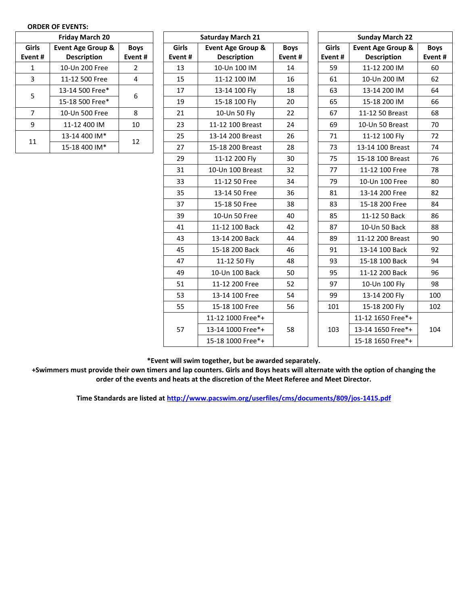| <b>Friday March 20</b> |                              |             |  |  |  |
|------------------------|------------------------------|-------------|--|--|--|
| Girls                  | <b>Event Age Group &amp;</b> | <b>Boys</b> |  |  |  |
| Event#                 | <b>Description</b>           | Event#      |  |  |  |
| 1                      | 10-Un 200 Free               | 2           |  |  |  |
| 3                      | 11-12 500 Free               | 4           |  |  |  |
| 5                      | 13-14 500 Free*              | 6           |  |  |  |
|                        | 15-18 500 Free*              |             |  |  |  |
| 7                      | 10-Un 500 Free               | 8           |  |  |  |
| q                      | 11-12 400 IM                 | 10          |  |  |  |
| 11                     | 13-14 400 IM*                |             |  |  |  |
|                        | 15-18 400 IM*                | 12          |  |  |  |

| <b>Friday March 20</b> |                              |                | <b>Saturday March 21</b> |                              |             | <b>Sunday March 22</b> |                              |       |  |
|------------------------|------------------------------|----------------|--------------------------|------------------------------|-------------|------------------------|------------------------------|-------|--|
| irls                   | <b>Event Age Group &amp;</b> | <b>Boys</b>    | Girls                    | <b>Event Age Group &amp;</b> | <b>Boys</b> | Girls                  | <b>Event Age Group &amp;</b> | Boy:  |  |
| nt#                    | <b>Description</b>           | Event#         | Event#                   | <b>Description</b>           | Event#      | Event#                 | <b>Description</b>           | Event |  |
| $\mathbf 1$            | 10-Un 200 Free               | $\overline{2}$ | 13                       | 10-Un 100 IM                 | 14          | 59                     | 11-12 200 IM                 | 60    |  |
| $\overline{3}$         | 11-12 500 Free               | $\overline{4}$ | 15                       | 11-12 100 IM                 | 16          | 61                     | 10-Un 200 IM                 | 62    |  |
| 5                      | 13-14 500 Free*              | 6              | 17                       | 13-14 100 Fly                | 18          | 63                     | 13-14 200 IM                 | 64    |  |
|                        | 15-18 500 Free*              |                | 19                       | 15-18 100 Fly                | 20          | 65                     | 15-18 200 IM                 | 66    |  |
| $\overline{7}$         | 10-Un 500 Free               | 8              | 21                       | 10-Un 50 Fly                 | 22          | 67                     | 11-12 50 Breast              | 68    |  |
| 9                      | 11-12 400 IM                 | 10             | 23                       | 11-12 100 Breast             | 24          | 69                     | 10-Un 50 Breast              | 70    |  |
| $\overline{1}$         | 13-14 400 IM*                | 12             | 25                       | 13-14 200 Breast             | 26          | 71                     | 11-12 100 Fly                | 72    |  |
|                        | 15-18 400 IM*                |                | 27                       | 15-18 200 Breast             | 28          | 73                     | 13-14 100 Breast             | 74    |  |
|                        |                              |                | 29                       | 11-12 200 Fly                | 30          | 75                     | 15-18 100 Breast             | 76    |  |
|                        |                              |                | 31                       | 10-Un 100 Breast             | 32          | 77                     | 11-12 100 Free               | 78    |  |
|                        |                              |                | 33                       | 11-12 50 Free                | 34          | 79                     | 10-Un 100 Free               | 80    |  |
|                        |                              |                | 35                       | 13-14 50 Free                | 36          | 81                     | 13-14 200 Free               | 82    |  |
|                        |                              |                | 37                       | 15-18 50 Free                | 38          | 83                     | 15-18 200 Free               | 84    |  |
|                        |                              |                | 39                       | 10-Un 50 Free                | 40          | 85                     | 11-12 50 Back                | 86    |  |
|                        |                              |                | 41                       | 11-12 100 Back               | 42          | 87                     | 10-Un 50 Back                | 88    |  |
|                        |                              |                | 43                       | 13-14 200 Back               | 44          | 89                     | 11-12 200 Breast             | 90    |  |
|                        |                              |                | 45                       | 15-18 200 Back               | 46          | 91                     | 13-14 100 Back               | 92    |  |
|                        |                              |                | 47                       | 11-12 50 Fly                 | 48          | 93                     | 15-18 100 Back               | 94    |  |
|                        |                              |                | 49                       | 10-Un 100 Back               | 50          | 95                     | 11-12 200 Back               | 96    |  |
|                        |                              |                | 51                       | 11-12 200 Free               | 52          | 97                     | 10-Un 100 Fly                | 98    |  |
|                        |                              |                | 53                       | 13-14 100 Free               | 54          | 99                     | 13-14 200 Fly                | 100   |  |
|                        |                              |                | 55                       | 15-18 100 Free               | 56          | 101                    | 15-18 200 Fly                | 102   |  |
|                        |                              |                |                          | 11-12 1000 Free*+            |             |                        | 11-12 1650 Free*+            |       |  |
|                        |                              |                | 57                       | 13-14 1000 Free*+            | 58          | 103                    | 13-14 1650 Free*+            | 104   |  |
|                        |                              |                |                          | 15-18 1000 Free*+            |             |                        | 15-18 1650 Free*+            |       |  |

**Boys Event #**

**\*Event will swim together, but be awarded separately.**

**+Swimmers must provide their own timers and lap counters. Girls and Boys heats will alternate with the option of changing the order of the events and heats at the discretion of the Meet Referee and Meet Director.**

**Time Standards are listed a[t http://www.pacswim.org/userfiles/cms/documents/809/jos-1415.pdf](http://www.pacswim.org/userfiles/cms/documents/809/jos-1415.pdf)**